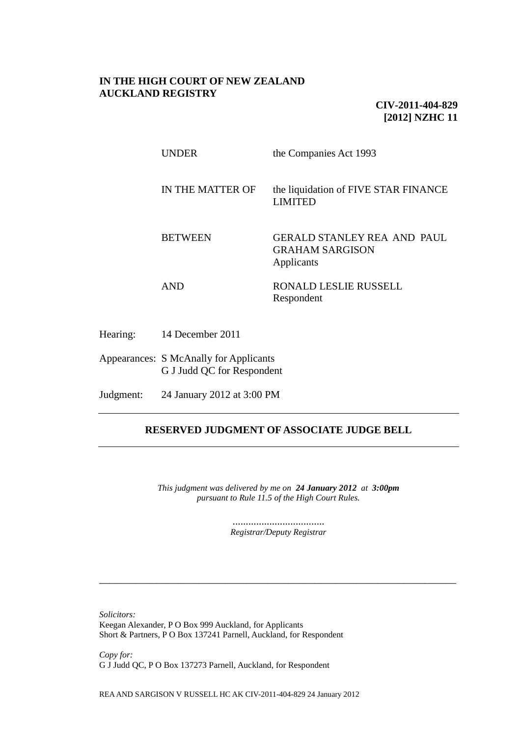# **IN THE HIGH COURT OF NEW ZEALAND AUCKLAND REGISTRY**

**CIV-2011-404-829 [2012] NZHC 11**

| <b>UNDER</b>     | the Companies Act 1993                                                     |
|------------------|----------------------------------------------------------------------------|
| IN THE MATTER OF | the liquidation of FIVE STAR FINANCE<br><b>LIMITED</b>                     |
| <b>BETWEEN</b>   | <b>GERALD STANLEY REA AND PAUL</b><br><b>GRAHAM SARGISON</b><br>Applicants |
| AND              | <b>RONALD LESLIE RUSSELL</b><br>Respondent                                 |

Hearing: 14 December 2011

Appearances: S McAnally for Applicants G J Judd QC for Respondent

Judgment: 24 January 2012 at 3:00 PM

# **RESERVED JUDGMENT OF ASSOCIATE JUDGE BELL**

*This judgment was delivered by me on 24 January 2012 at 3:00pm pursuant to Rule 11.5 of the High Court Rules.*

> ................................... *Registrar/Deputy Registrar*

\_\_\_\_\_\_\_\_\_\_\_\_\_\_\_\_\_\_\_\_\_\_\_\_\_\_\_\_\_\_\_\_\_\_\_\_\_\_\_\_\_\_\_\_\_\_\_\_\_\_\_\_\_\_\_\_\_\_\_\_\_\_\_\_\_\_\_\_

*Solicitors:*

Keegan Alexander, P O Box 999 Auckland, for Applicants Short & Partners, P O Box 137241 Parnell, Auckland, for Respondent

*Copy for:* G J Judd QC, P O Box 137273 Parnell, Auckland, for Respondent

REA AND SARGISON V RUSSELL HC AK CIV-2011-404-829 24 January 2012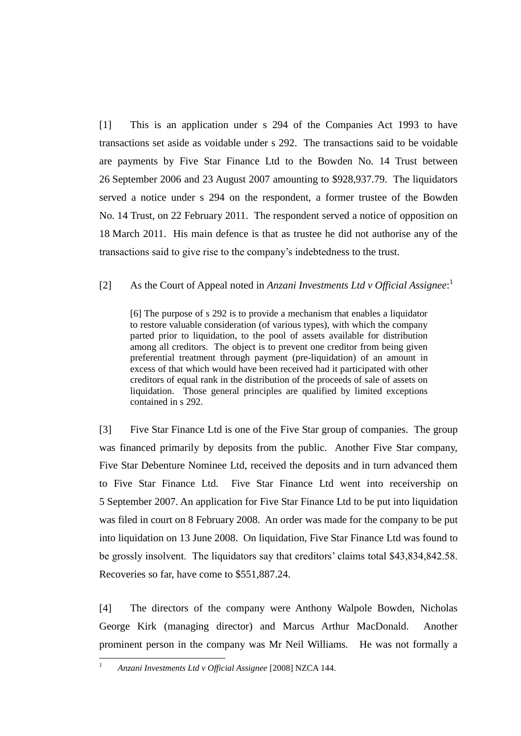[1] This is an application under s 294 of the Companies Act 1993 to have transactions set aside as voidable under s 292. The transactions said to be voidable are payments by Five Star Finance Ltd to the Bowden No. 14 Trust between 26 September 2006 and 23 August 2007 amounting to \$928,937.79. The liquidators served a notice under s 294 on the respondent, a former trustee of the Bowden No. 14 Trust, on 22 February 2011. The respondent served a notice of opposition on 18 March 2011. His main defence is that as trustee he did not authorise any of the transactions said to give rise to the company's indebtedness to the trust.

# [2] As the Court of Appeal noted in *Anzani Investments Ltd v Official Assignee*: 1

[6] The purpose of s 292 is to provide a mechanism that enables a liquidator to restore valuable consideration (of various types), with which the company parted prior to liquidation, to the pool of assets available for distribution among all creditors. The object is to prevent one creditor from being given preferential treatment through payment (pre-liquidation) of an amount in excess of that which would have been received had it participated with other creditors of equal rank in the distribution of the proceeds of sale of assets on liquidation. Those general principles are qualified by limited exceptions contained in s 292.

[3] Five Star Finance Ltd is one of the Five Star group of companies. The group was financed primarily by deposits from the public. Another Five Star company, Five Star Debenture Nominee Ltd, received the deposits and in turn advanced them to Five Star Finance Ltd. Five Star Finance Ltd went into receivership on 5 September 2007. An application for Five Star Finance Ltd to be put into liquidation was filed in court on 8 February 2008. An order was made for the company to be put into liquidation on 13 June 2008. On liquidation, Five Star Finance Ltd was found to be grossly insolvent. The liquidators say that creditors' claims total \$43,834,842.58. Recoveries so far, have come to \$551,887.24.

[4] The directors of the company were Anthony Walpole Bowden, Nicholas George Kirk (managing director) and Marcus Arthur MacDonald. Another prominent person in the company was Mr Neil Williams. He was not formally a

 $\bar{1}$ 

<sup>1</sup> *Anzani Investments Ltd v Official Assignee* [2008] NZCA 144.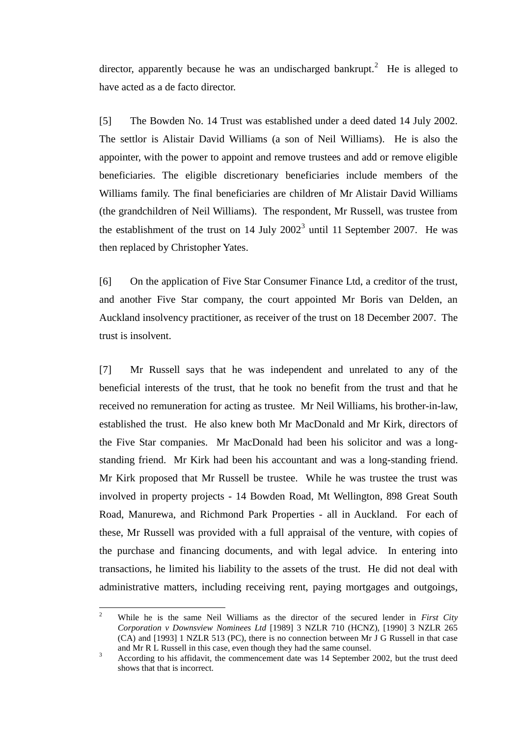director, apparently because he was an undischarged bankrupt.<sup>2</sup> He is alleged to have acted as a de facto director.

[5] The Bowden No. 14 Trust was established under a deed dated 14 July 2002. The settlor is Alistair David Williams (a son of Neil Williams). He is also the appointer, with the power to appoint and remove trustees and add or remove eligible beneficiaries. The eligible discretionary beneficiaries include members of the Williams family. The final beneficiaries are children of Mr Alistair David Williams (the grandchildren of Neil Williams). The respondent, Mr Russell, was trustee from the establishment of the trust on 14 July  $2002<sup>3</sup>$  until 11 September 2007. He was then replaced by Christopher Yates.

[6] On the application of Five Star Consumer Finance Ltd, a creditor of the trust, and another Five Star company, the court appointed Mr Boris van Delden, an Auckland insolvency practitioner, as receiver of the trust on 18 December 2007. The trust is insolvent.

[7] Mr Russell says that he was independent and unrelated to any of the beneficial interests of the trust, that he took no benefit from the trust and that he received no remuneration for acting as trustee. Mr Neil Williams, his brother-in-law, established the trust. He also knew both Mr MacDonald and Mr Kirk, directors of the Five Star companies. Mr MacDonald had been his solicitor and was a longstanding friend. Mr Kirk had been his accountant and was a long-standing friend. Mr Kirk proposed that Mr Russell be trustee. While he was trustee the trust was involved in property projects - 14 Bowden Road, Mt Wellington, 898 Great South Road, Manurewa, and Richmond Park Properties - all in Auckland. For each of these, Mr Russell was provided with a full appraisal of the venture, with copies of the purchase and financing documents, and with legal advice. In entering into transactions, he limited his liability to the assets of the trust. He did not deal with administrative matters, including receiving rent, paying mortgages and outgoings,

 $\mathcal{L}$ <sup>2</sup> While he is the same Neil Williams as the director of the secured lender in *First City Corporation v Downsview Nominees Ltd* [1989] 3 NZLR 710 (HCNZ), [1990] 3 NZLR 265 (CA) and [1993] 1 NZLR 513 (PC), there is no connection between Mr J G Russell in that case and Mr R L Russell in this case, even though they had the same counsel.

<sup>&</sup>lt;sup>3</sup> According to his affidavit, the commencement date was 14 September 2002, but the trust deed shows that that is incorrect.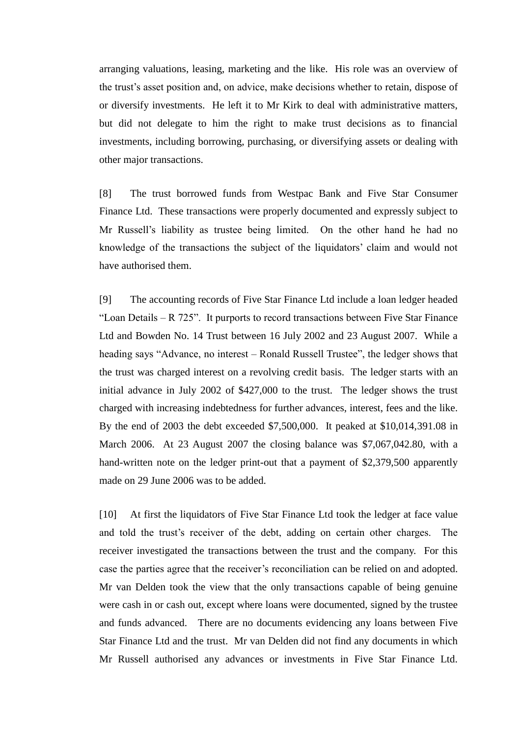arranging valuations, leasing, marketing and the like. His role was an overview of the trust's asset position and, on advice, make decisions whether to retain, dispose of or diversify investments. He left it to Mr Kirk to deal with administrative matters, but did not delegate to him the right to make trust decisions as to financial investments, including borrowing, purchasing, or diversifying assets or dealing with other major transactions.

[8] The trust borrowed funds from Westpac Bank and Five Star Consumer Finance Ltd. These transactions were properly documented and expressly subject to Mr Russell's liability as trustee being limited. On the other hand he had no knowledge of the transactions the subject of the liquidators' claim and would not have authorised them.

[9] The accounting records of Five Star Finance Ltd include a loan ledger headed "Loan Details  $- R$  725". It purports to record transactions between Five Star Finance Ltd and Bowden No. 14 Trust between 16 July 2002 and 23 August 2007. While a heading says "Advance, no interest – Ronald Russell Trustee", the ledger shows that the trust was charged interest on a revolving credit basis. The ledger starts with an initial advance in July 2002 of \$427,000 to the trust. The ledger shows the trust charged with increasing indebtedness for further advances, interest, fees and the like. By the end of 2003 the debt exceeded \$7,500,000. It peaked at \$10,014,391.08 in March 2006. At 23 August 2007 the closing balance was \$7,067,042.80, with a hand-written note on the ledger print-out that a payment of \$2,379,500 apparently made on 29 June 2006 was to be added.

[10] At first the liquidators of Five Star Finance Ltd took the ledger at face value and told the trust's receiver of the debt, adding on certain other charges. The receiver investigated the transactions between the trust and the company. For this case the parties agree that the receiver's reconciliation can be relied on and adopted. Mr van Delden took the view that the only transactions capable of being genuine were cash in or cash out, except where loans were documented, signed by the trustee and funds advanced. There are no documents evidencing any loans between Five Star Finance Ltd and the trust. Mr van Delden did not find any documents in which Mr Russell authorised any advances or investments in Five Star Finance Ltd.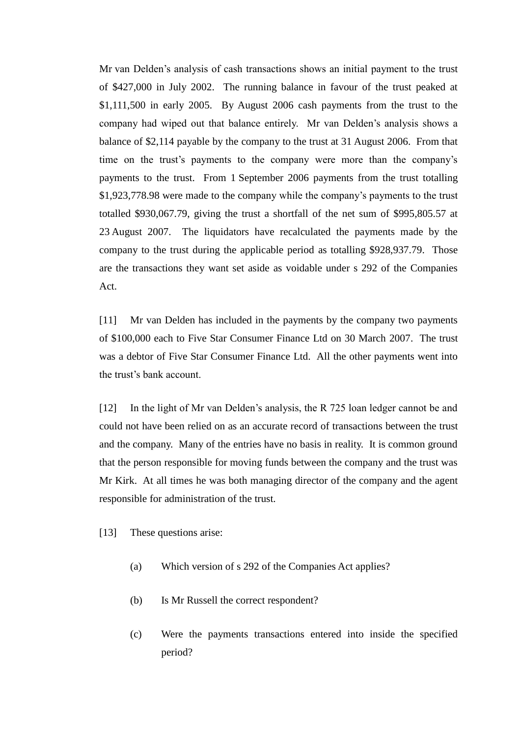Mr van Delden's analysis of cash transactions shows an initial payment to the trust of \$427,000 in July 2002. The running balance in favour of the trust peaked at \$1,111,500 in early 2005. By August 2006 cash payments from the trust to the company had wiped out that balance entirely. Mr van Delden's analysis shows a balance of \$2,114 payable by the company to the trust at 31 August 2006. From that time on the trust's payments to the company were more than the company's payments to the trust. From 1 September 2006 payments from the trust totalling \$1,923,778.98 were made to the company while the company's payments to the trust totalled \$930,067.79, giving the trust a shortfall of the net sum of \$995,805.57 at 23 August 2007. The liquidators have recalculated the payments made by the company to the trust during the applicable period as totalling \$928,937.79. Those are the transactions they want set aside as voidable under s 292 of the Companies Act.

[11] Mr van Delden has included in the payments by the company two payments of \$100,000 each to Five Star Consumer Finance Ltd on 30 March 2007. The trust was a debtor of Five Star Consumer Finance Ltd. All the other payments went into the trust's bank account.

[12] In the light of Mr van Delden's analysis, the R 725 loan ledger cannot be and could not have been relied on as an accurate record of transactions between the trust and the company. Many of the entries have no basis in reality. It is common ground that the person responsible for moving funds between the company and the trust was Mr Kirk. At all times he was both managing director of the company and the agent responsible for administration of the trust.

[13] These questions arise:

- (a) Which version of s 292 of the Companies Act applies?
- (b) Is Mr Russell the correct respondent?
- (c) Were the payments transactions entered into inside the specified period?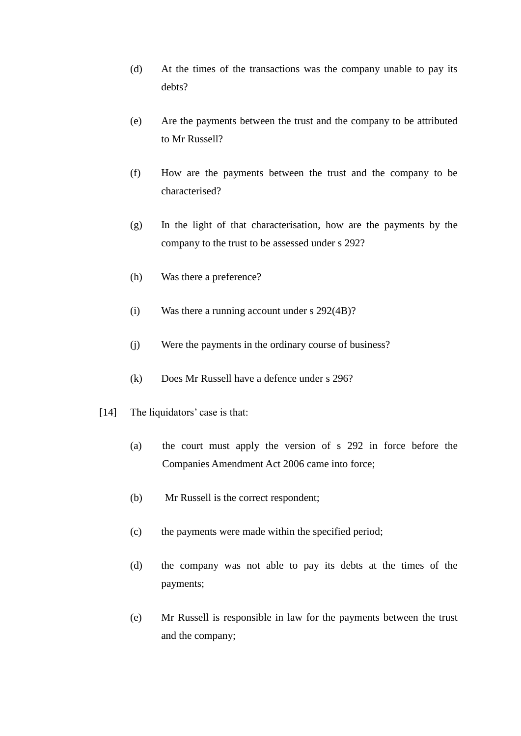- (d) At the times of the transactions was the company unable to pay its debts?
- (e) Are the payments between the trust and the company to be attributed to Mr Russell?
- (f) How are the payments between the trust and the company to be characterised?
- (g) In the light of that characterisation, how are the payments by the company to the trust to be assessed under s 292?
- (h) Was there a preference?
- (i) Was there a running account under s 292(4B)?
- (j) Were the payments in the ordinary course of business?
- (k) Does Mr Russell have a defence under s 296?
- [14] The liquidators' case is that:
	- (a) the court must apply the version of s 292 in force before the Companies Amendment Act 2006 came into force;
	- (b) Mr Russell is the correct respondent;
	- (c) the payments were made within the specified period;
	- (d) the company was not able to pay its debts at the times of the payments;
	- (e) Mr Russell is responsible in law for the payments between the trust and the company;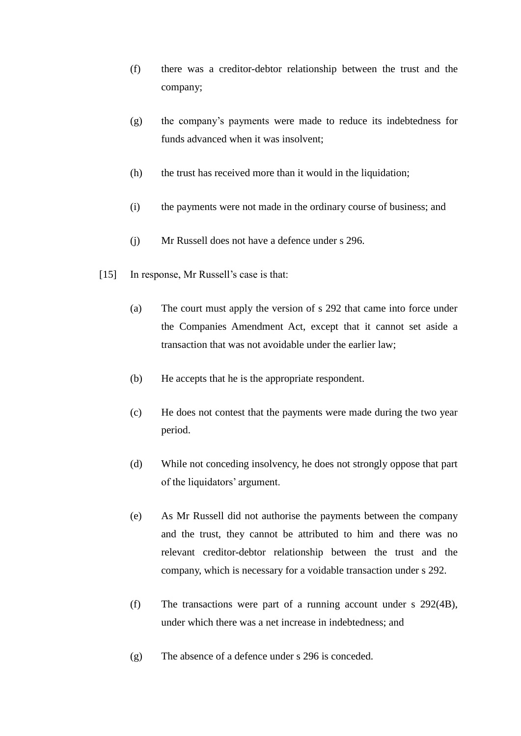- (f) there was a creditor-debtor relationship between the trust and the company;
- (g) the company's payments were made to reduce its indebtedness for funds advanced when it was insolvent;
- (h) the trust has received more than it would in the liquidation;
- (i) the payments were not made in the ordinary course of business; and
- (j) Mr Russell does not have a defence under s 296.
- [15] In response, Mr Russell's case is that:
	- (a) The court must apply the version of s 292 that came into force under the Companies Amendment Act, except that it cannot set aside a transaction that was not avoidable under the earlier law;
	- (b) He accepts that he is the appropriate respondent.
	- (c) He does not contest that the payments were made during the two year period.
	- (d) While not conceding insolvency, he does not strongly oppose that part of the liquidators' argument.
	- (e) As Mr Russell did not authorise the payments between the company and the trust, they cannot be attributed to him and there was no relevant creditor-debtor relationship between the trust and the company, which is necessary for a voidable transaction under s 292.
	- (f) The transactions were part of a running account under s 292(4B), under which there was a net increase in indebtedness; and
	- (g) The absence of a defence under s 296 is conceded.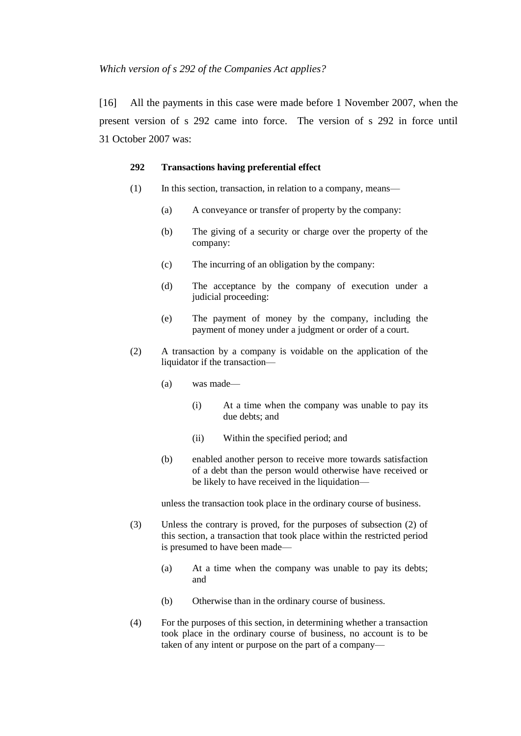[16] All the payments in this case were made before 1 November 2007, when the present version of s 292 came into force. The version of s 292 in force until 31 October 2007 was:

#### **292 Transactions having preferential effect**

- (1) In this section, transaction, in relation to a company, means—
	- (a) A conveyance or transfer of property by the company:
	- (b) The giving of a security or charge over the property of the company:
	- (c) The incurring of an obligation by the company:
	- (d) The acceptance by the company of execution under a judicial proceeding:
	- (e) The payment of money by the company, including the payment of money under a judgment or order of a court.
- (2) A transaction by a company is voidable on the application of the liquidator if the transaction—
	- (a) was made—
		- (i) At a time when the company was unable to pay its due debts; and
		- (ii) Within the specified period; and
	- (b) enabled another person to receive more towards satisfaction of a debt than the person would otherwise have received or be likely to have received in the liquidation—

unless the transaction took place in the ordinary course of business.

- (3) Unless the contrary is proved, for the purposes of subsection (2) of this section, a transaction that took place within the restricted period is presumed to have been made—
	- (a) At a time when the company was unable to pay its debts; and
	- (b) Otherwise than in the ordinary course of business.
- (4) For the purposes of this section, in determining whether a transaction took place in the ordinary course of business, no account is to be taken of any intent or purpose on the part of a company—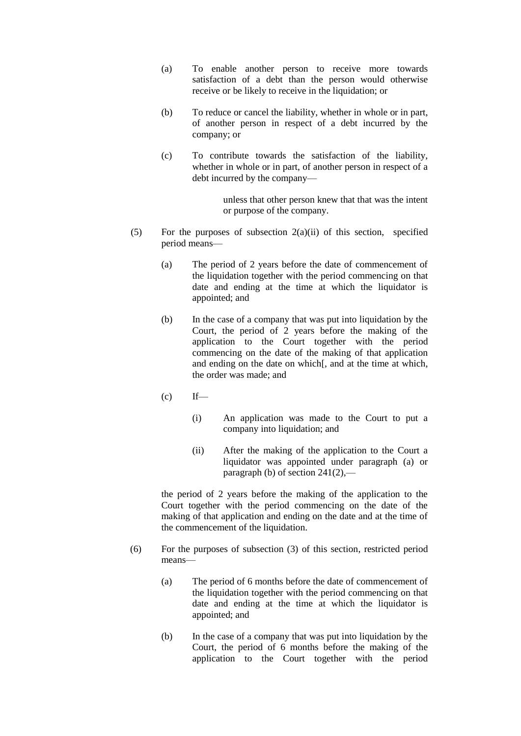- (a) To enable another person to receive more towards satisfaction of a debt than the person would otherwise receive or be likely to receive in the liquidation; or
- (b) To reduce or cancel the liability, whether in whole or in part, of another person in respect of a debt incurred by the company; or
- (c) To contribute towards the satisfaction of the liability, whether in whole or in part, of another person in respect of a debt incurred by the company—

unless that other person knew that that was the intent or purpose of the company.

- (5) For the purposes of subsection  $2(a)(ii)$  of this section, specified period means—
	- (a) The period of 2 years before the date of commencement of the liquidation together with the period commencing on that date and ending at the time at which the liquidator is appointed; and
	- (b) In the case of a company that was put into liquidation by the Court, the period of 2 years before the making of the application to the Court together with the period commencing on the date of the making of that application and ending on the date on which[, and at the time at which, the order was made; and
	- $f(c)$  If—
		- (i) An application was made to the Court to put a company into liquidation; and
		- (ii) After the making of the application to the Court a liquidator was appointed under paragraph (a) or paragraph (b) of section 241(2),—

the period of 2 years before the making of the application to the Court together with the period commencing on the date of the making of that application and ending on the date and at the time of the commencement of the liquidation.

- (6) For the purposes of subsection (3) of this section, restricted period means—
	- (a) The period of 6 months before the date of commencement of the liquidation together with the period commencing on that date and ending at the time at which the liquidator is appointed; and
	- (b) In the case of a company that was put into liquidation by the Court, the period of 6 months before the making of the application to the Court together with the period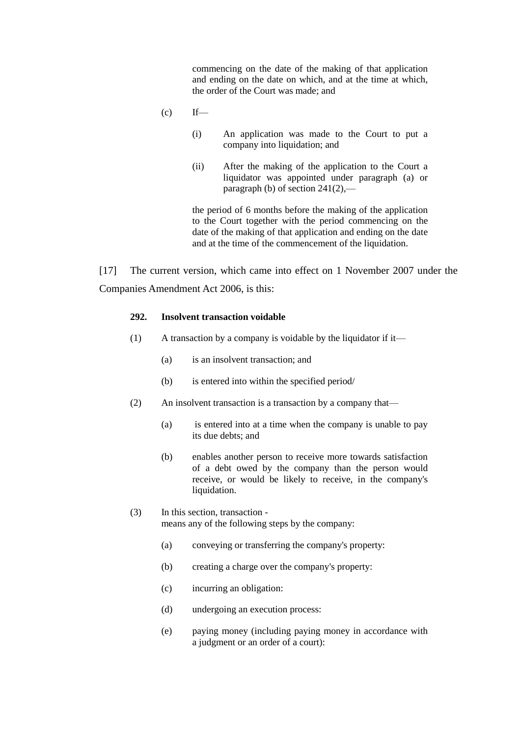commencing on the date of the making of that application and ending on the date on which, and at the time at which, the order of the Court was made; and

- $(c)$  If—
	- (i) An application was made to the Court to put a company into liquidation; and
	- (ii) After the making of the application to the Court a liquidator was appointed under paragraph (a) or paragraph (b) of section  $241(2)$ ,—

the period of 6 months before the making of the application to the Court together with the period commencing on the date of the making of that application and ending on the date and at the time of the commencement of the liquidation.

[17] The current version, which came into effect on 1 November 2007 under the Companies Amendment Act 2006, is this:

# **292. Insolvent transaction voidable**

- (1) A transaction by a company is voidable by the liquidator if it—
	- (a) is an insolvent transaction; and
	- (b) is entered into within the specified period/
- (2) An insolvent transaction is a transaction by a company that—
	- (a) is entered into at a time when the company is unable to pay its due debts; and
	- (b) enables another person to receive more towards satisfaction of a debt owed by the company than the person would receive, or would be likely to receive, in the company's liquidation.
- (3) In this section, transaction means any of the following steps by the company:
	- (a) conveying or transferring the company's property:
	- (b) creating a charge over the company's property:
	- (c) incurring an obligation:
	- (d) undergoing an execution process:
	- (e) paying money (including paying money in accordance with a judgment or an order of a court):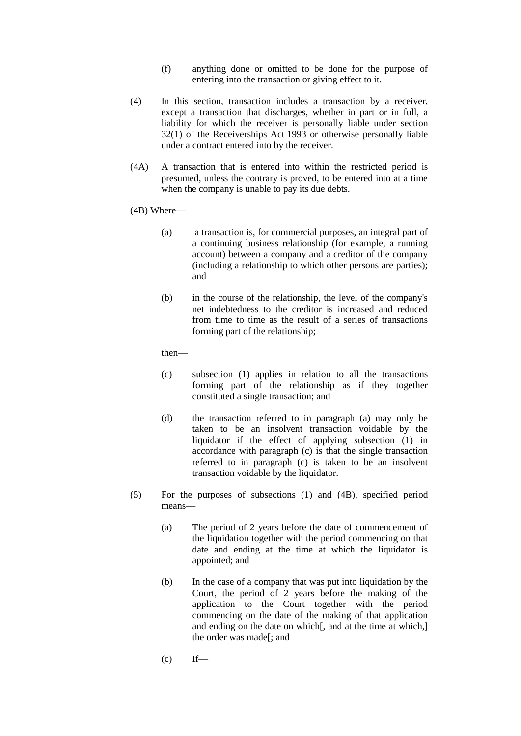- (f) anything done or omitted to be done for the purpose of entering into the transaction or giving effect to it.
- (4) In this section, transaction includes a transaction by a receiver, except a transaction that discharges, whether in part or in full, a liability for which the receiver is personally liable under section  $32(1)$  of the Receiverships Act 1993 or otherwise personally liable under a contract entered into by the receiver.
- (4A) A transaction that is entered into within the restricted period is presumed, unless the contrary is proved, to be entered into at a time when the company is unable to pay its due debts.
- (4B) Where—
	- (a) a transaction is, for commercial purposes, an integral part of a continuing business relationship (for example, a running account) between a company and a creditor of the company (including a relationship to which other persons are parties); and
	- (b) in the course of the relationship, the level of the company's net indebtedness to the creditor is increased and reduced from time to time as the result of a series of transactions forming part of the relationship;

then—

- (c) subsection (1) applies in relation to all the transactions forming part of the relationship as if they together constituted a single transaction; and
- (d) the transaction referred to in paragraph (a) may only be taken to be an insolvent transaction voidable by the liquidator if the effect of applying subsection (1) in accordance with paragraph (c) is that the single transaction referred to in paragraph (c) is taken to be an insolvent transaction voidable by the liquidator.
- (5) For the purposes of subsections (1) and (4B), specified period means—
	- (a) The period of 2 years before the date of commencement of the liquidation together with the period commencing on that date and ending at the time at which the liquidator is appointed; and
	- (b) In the case of a company that was put into liquidation by the Court, the period of 2 years before the making of the application to the Court together with the period commencing on the date of the making of that application and ending on the date on which[, and at the time at which,] the order was made[; and
	- $(c)$  If—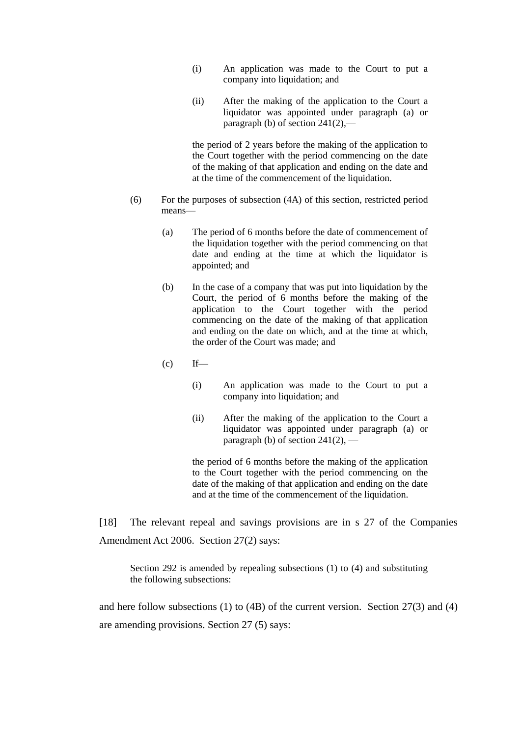- (i) An application was made to the Court to put a company into liquidation; and
- (ii) After the making of the application to the Court a liquidator was appointed under paragraph (a) or paragraph (b) of section  $241(2)$ ,—

the period of 2 years before the making of the application to the Court together with the period commencing on the date of the making of that application and ending on the date and at the time of the commencement of the liquidation.

- (6) For the purposes of subsection (4A) of this section, restricted period means—
	- (a) The period of 6 months before the date of commencement of the liquidation together with the period commencing on that date and ending at the time at which the liquidator is appointed; and
	- (b) In the case of a company that was put into liquidation by the Court, the period of 6 months before the making of the application to the Court together with the period commencing on the date of the making of that application and ending on the date on which, and at the time at which, the order of the Court was made; and
	- $(c)$  If—
		- (i) An application was made to the Court to put a company into liquidation; and
		- (ii) After the making of the application to the Court a liquidator was appointed under paragraph (a) or paragraph (b) of section  $241(2)$ , –

the period of 6 months before the making of the application to the Court together with the period commencing on the date of the making of that application and ending on the date and at the time of the commencement of the liquidation.

[18] The relevant repeal and savings provisions are in s 27 of the Companies Amendment Act 2006. Section 27(2) says:

Section 292 is amended by repealing subsections (1) to (4) and substituting the following subsections:

and here follow subsections (1) to (4B) of the current version. Section 27(3) and (4) are amending provisions. Section 27 (5) says: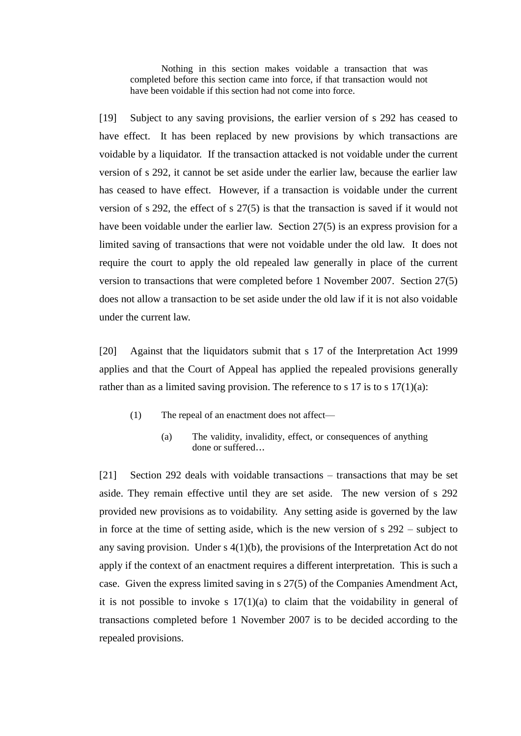Nothing in this section makes voidable a transaction that was completed before this section came into force, if that transaction would not have been voidable if this section had not come into force.

[19] Subject to any saving provisions, the earlier version of s 292 has ceased to have effect. It has been replaced by new provisions by which transactions are voidable by a liquidator. If the transaction attacked is not voidable under the current version of s 292, it cannot be set aside under the earlier law, because the earlier law has ceased to have effect. However, if a transaction is voidable under the current version of s 292, the effect of s 27(5) is that the transaction is saved if it would not have been voidable under the earlier law. Section 27(5) is an express provision for a limited saving of transactions that were not voidable under the old law. It does not require the court to apply the old repealed law generally in place of the current version to transactions that were completed before 1 November 2007. Section 27(5) does not allow a transaction to be set aside under the old law if it is not also voidable under the current law.

[20] Against that the liquidators submit that s 17 of the Interpretation Act 1999 applies and that the Court of Appeal has applied the repealed provisions generally rather than as a limited saving provision. The reference to s 17 is to s  $17(1)(a)$ :

- (1) The repeal of an enactment does not affect—
	- (a) The validity, invalidity, effect, or consequences of anything done or suffered...

[21] Section 292 deals with voidable transactions – transactions that may be set aside. They remain effective until they are set aside. The new version of s 292 provided new provisions as to voidability. Any setting aside is governed by the law in force at the time of setting aside, which is the new version of s 292 – subject to any saving provision. Under s 4(1)(b), the provisions of the Interpretation Act do not apply if the context of an enactment requires a different interpretation. This is such a case. Given the express limited saving in s 27(5) of the Companies Amendment Act, it is not possible to invoke s  $17(1)(a)$  to claim that the voidability in general of transactions completed before 1 November 2007 is to be decided according to the repealed provisions.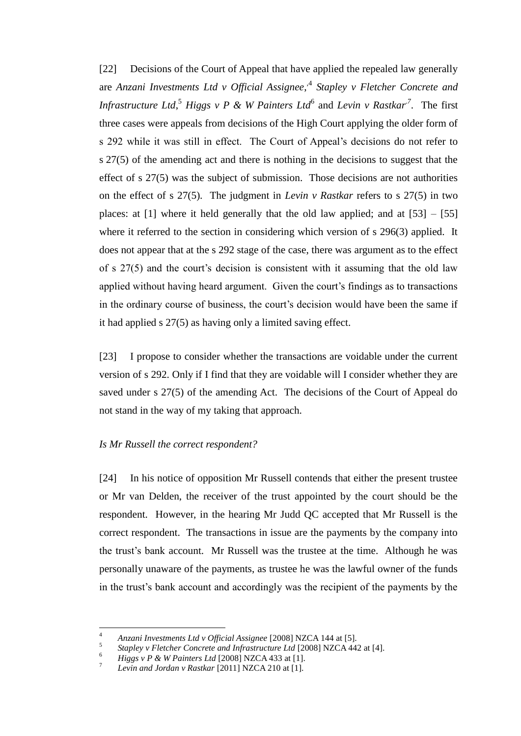[22] Decisions of the Court of Appeal that have applied the repealed law generally are *Anzani Investments Ltd v Official Assignee*, *,*4 *Stapley v Fletcher Concrete and*  Infrastructure Ltd, <sup>5</sup> Higgs v P & W Painters Ltd<sup>6</sup> and Levin v Rastkar<sup>7</sup>. The first three cases were appeals from decisions of the High Court applying the older form of s 292 while it was still in effect. The Court of Appeal's decisions do not refer to s 27(5) of the amending act and there is nothing in the decisions to suggest that the effect of s 27(5) was the subject of submission. Those decisions are not authorities on the effect of s 27(5). The judgment in *Levin v Rastkar* refers to s 27(5) in two places: at  $[1]$  where it held generally that the old law applied; and at  $[53] - [55]$ where it referred to the section in considering which version of s 296(3) applied. It does not appear that at the s 292 stage of the case, there was argument as to the effect of s 27(5) and the court's decision is consistent with it assuming that the old law applied without having heard argument. Given the court's findings as to transactions in the ordinary course of business, the court's decision would have been the same if it had applied s 27(5) as having only a limited saving effect.

[23] I propose to consider whether the transactions are voidable under the current version of s 292. Only if I find that they are voidable will I consider whether they are saved under s 27(5) of the amending Act. The decisions of the Court of Appeal do not stand in the way of my taking that approach.

## *Is Mr Russell the correct respondent?*

[24] In his notice of opposition Mr Russell contends that either the present trustee or Mr van Delden, the receiver of the trust appointed by the court should be the respondent. However, in the hearing Mr Judd QC accepted that Mr Russell is the correct respondent. The transactions in issue are the payments by the company into the trust's bank account. Mr Russell was the trustee at the time. Although he was personally unaware of the payments, as trustee he was the lawful owner of the funds in the trust's bank account and accordingly was the recipient of the payments by the

 $\overline{4}$ <sup>4</sup> *Anzani Investments Ltd v Official Assignee* [2008] NZCA 144 at [5].

<sup>5</sup> *Stapley v Fletcher Concrete and Infrastructure Ltd* [2008] NZCA 442 at [4].

 $\frac{6}{4}$  *Higgs v P & W Painters Ltd* [2008] NZCA 433 at [1].

<sup>7</sup> *Levin and Jordan v Rastkar* [2011] NZCA 210 at [1].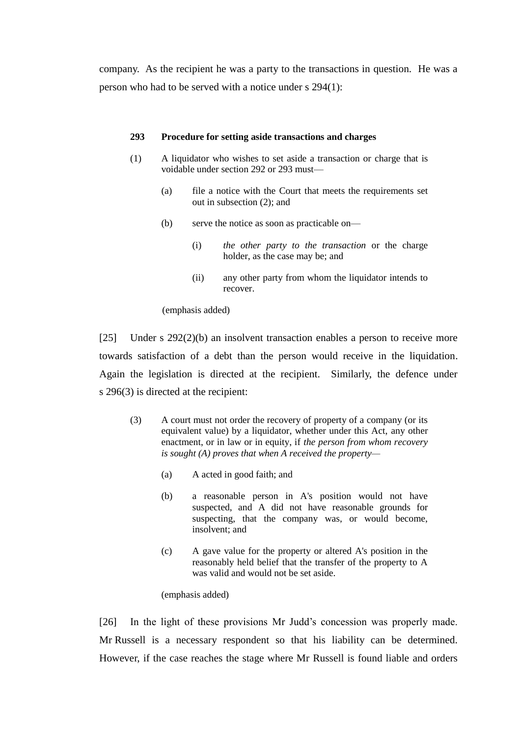company. As the recipient he was a party to the transactions in question. He was a person who had to be served with a notice under s 294(1):

#### **293 Procedure for setting aside transactions and charges**

- (1) A liquidator who wishes to set aside a transaction or charge that is voidable under section 292 or 293 must—
	- (a) file a notice with the Court that meets the requirements set out in subsection (2); and
	- (b) serve the notice as soon as practicable on—
		- (i) *the other party to the transaction* or the charge holder, as the case may be; and
		- (ii) any other party from whom the liquidator intends to recover.

#### (emphasis added)

[25] Under s 292(2)(b) an insolvent transaction enables a person to receive more towards satisfaction of a debt than the person would receive in the liquidation. Again the legislation is directed at the recipient. Similarly, the defence under s 296(3) is directed at the recipient:

- (3) A court must not order the recovery of property of a company (or its equivalent value) by a liquidator, whether under this Act, any other enactment, or in law or in equity, if *the person from whom recovery is sought (A) proves that when A received the property—*
	- (a) A acted in good faith; and
	- (b) a reasonable person in A's position would not have suspected, and A did not have reasonable grounds for suspecting, that the company was, or would become, insolvent; and
	- (c) A gave value for the property or altered A's position in the reasonably held belief that the transfer of the property to A was valid and would not be set aside.

## (emphasis added)

[26] In the light of these provisions Mr Judd's concession was properly made. Mr Russell is a necessary respondent so that his liability can be determined. However, if the case reaches the stage where Mr Russell is found liable and orders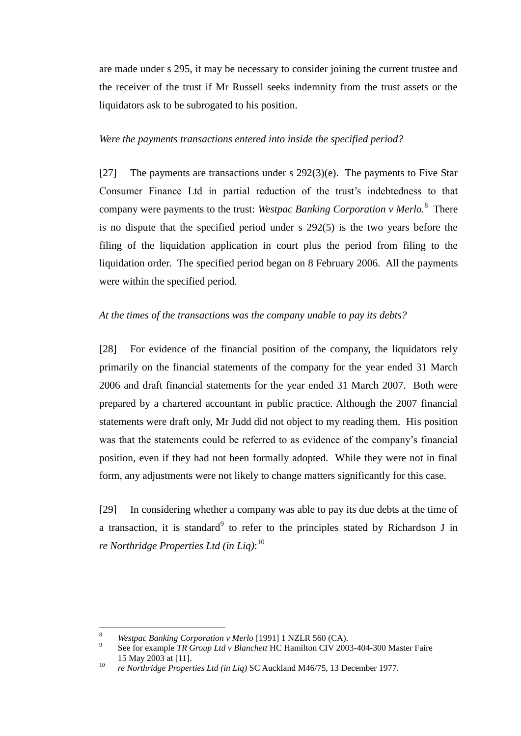are made under s 295, it may be necessary to consider joining the current trustee and the receiver of the trust if Mr Russell seeks indemnity from the trust assets or the liquidators ask to be subrogated to his position.

# *Were the payments transactions entered into inside the specified period?*

[27] The payments are transactions under s  $292(3)(e)$ . The payments to Five Star Consumer Finance Ltd in partial reduction of the trust's indebtedness to that company were payments to the trust: *Westpac Banking Corporation v Merlo*.<sup>8</sup> There is no dispute that the specified period under s 292(5) is the two years before the filing of the liquidation application in court plus the period from filing to the liquidation order. The specified period began on 8 February 2006. All the payments were within the specified period.

# *At the times of the transactions was the company unable to pay its debts?*

[28] For evidence of the financial position of the company, the liquidators rely primarily on the financial statements of the company for the year ended 31 March 2006 and draft financial statements for the year ended 31 March 2007. Both were prepared by a chartered accountant in public practice. Although the 2007 financial statements were draft only, Mr Judd did not object to my reading them. His position was that the statements could be referred to as evidence of the company's financial position, even if they had not been formally adopted. While they were not in final form, any adjustments were not likely to change matters significantly for this case.

[29] In considering whether a company was able to pay its due debts at the time of a transaction, it is standard<sup>9</sup> to refer to the principles stated by Richardson J in *re Northridge Properties Ltd (in Liq)*: 10

<sup>8</sup> *Westpac Banking Corporation v Merlo* [1991] 1 NZLR 560 (CA).

<sup>9</sup> See for example *TR Group Ltd v Blanchett* HC Hamilton CIV 2003-404-300 Master Faire 15 May 2003 at [11].

<sup>10</sup> *re Northridge Properties Ltd (in Liq)* SC Auckland M46/75, 13 December 1977.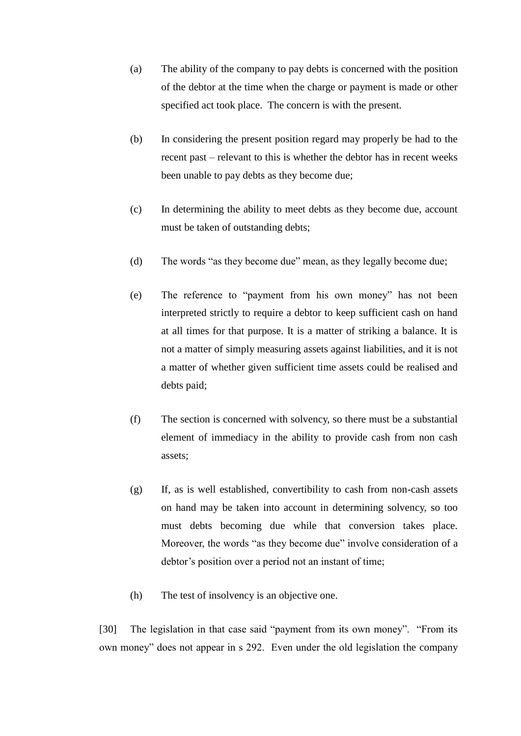- (a) The ability of the company to pay debts is concerned with the position of the debtor at the time when the charge or payment is made or other specified act took place. The concern is with the present.
- (b) In considering the present position regard may properly be had to the recent past – relevant to this is whether the debtor has in recent weeks been unable to pay debts as they become due;
- (c) In determining the ability to meet debts as they become due, account must be taken of outstanding debts;
- (d) The words "as they become due" mean, as they legally become due;
- (e) The reference to "payment from his own money" has not been interpreted strictly to require a debtor to keep sufficient cash on hand at all times for that purpose. It is a matter of striking a balance. It is not a matter of simply measuring assets against liabilities, and it is not a matter of whether given sufficient time assets could be realised and debts paid;
- (f) The section is concerned with solvency, so there must be a substantial element of immediacy in the ability to provide cash from non cash assets;
- (g) If, as is well established, convertibility to cash from non-cash assets on hand may be taken into account in determining solvency, so too must debts becoming due while that conversion takes place. Moreover, the words "as they become due" involve consideration of a debtor's position over a period not an instant of time;
- (h) The test of insolvency is an objective one.

[30] The legislation in that case said "payment from its own money". "From its own money" does not appear in s 292. Even under the old legislation the company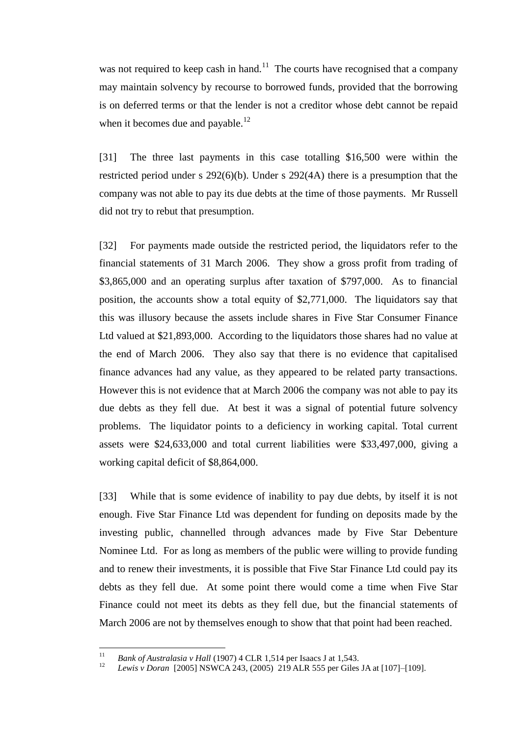was not required to keep cash in hand.<sup>11</sup> The courts have recognised that a company may maintain solvency by recourse to borrowed funds, provided that the borrowing is on deferred terms or that the lender is not a creditor whose debt cannot be repaid when it becomes due and payable.<sup>12</sup>

[31] The three last payments in this case totalling \$16,500 were within the restricted period under s 292(6)(b). Under s 292(4A) there is a presumption that the company was not able to pay its due debts at the time of those payments. Mr Russell did not try to rebut that presumption.

[32] For payments made outside the restricted period, the liquidators refer to the financial statements of 31 March 2006. They show a gross profit from trading of \$3,865,000 and an operating surplus after taxation of \$797,000. As to financial position, the accounts show a total equity of \$2,771,000. The liquidators say that this was illusory because the assets include shares in Five Star Consumer Finance Ltd valued at \$21,893,000. According to the liquidators those shares had no value at the end of March 2006. They also say that there is no evidence that capitalised finance advances had any value, as they appeared to be related party transactions. However this is not evidence that at March 2006 the company was not able to pay its due debts as they fell due. At best it was a signal of potential future solvency problems. The liquidator points to a deficiency in working capital. Total current assets were \$24,633,000 and total current liabilities were \$33,497,000, giving a working capital deficit of \$8,864,000.

[33] While that is some evidence of inability to pay due debts, by itself it is not enough. Five Star Finance Ltd was dependent for funding on deposits made by the investing public, channelled through advances made by Five Star Debenture Nominee Ltd. For as long as members of the public were willing to provide funding and to renew their investments, it is possible that Five Star Finance Ltd could pay its debts as they fell due. At some point there would come a time when Five Star Finance could not meet its debts as they fell due, but the financial statements of March 2006 are not by themselves enough to show that that point had been reached.

 $11\,$ <sup>11</sup> *Bank of Australasia v Hall* (1907) 4 CLR 1,514 per Isaacs J at 1,543.

<sup>12</sup> *Lewis v Doran* [2005] NSWCA 243, (2005) 219 ALR 555 per Giles JA at [107]–[109].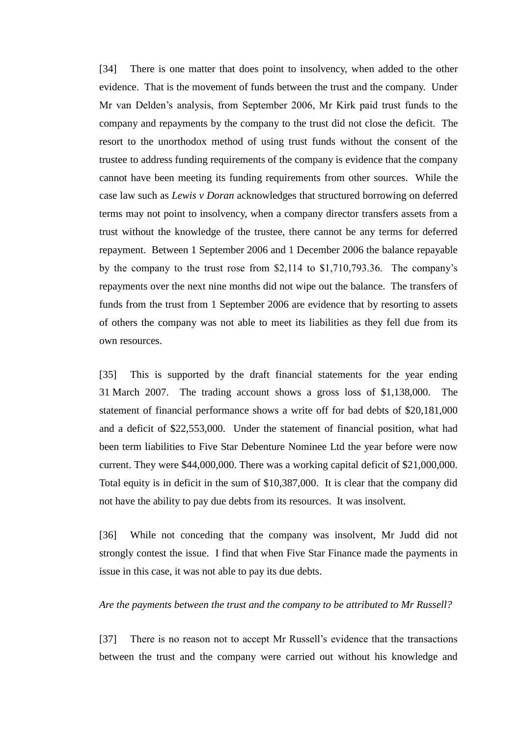[34] There is one matter that does point to insolvency, when added to the other evidence. That is the movement of funds between the trust and the company. Under Mr van Delden's analysis, from September 2006, Mr Kirk paid trust funds to the company and repayments by the company to the trust did not close the deficit. The resort to the unorthodox method of using trust funds without the consent of the trustee to address funding requirements of the company is evidence that the company cannot have been meeting its funding requirements from other sources. While the case law such as *Lewis v Doran* acknowledges that structured borrowing on deferred terms may not point to insolvency, when a company director transfers assets from a trust without the knowledge of the trustee, there cannot be any terms for deferred repayment. Between 1 September 2006 and 1 December 2006 the balance repayable by the company to the trust rose from \$2,114 to \$1,710,793.36. The company's repayments over the next nine months did not wipe out the balance. The transfers of funds from the trust from 1 September 2006 are evidence that by resorting to assets of others the company was not able to meet its liabilities as they fell due from its own resources.

[35] This is supported by the draft financial statements for the year ending 31 March 2007. The trading account shows a gross loss of \$1,138,000. The statement of financial performance shows a write off for bad debts of \$20,181,000 and a deficit of \$22,553,000. Under the statement of financial position, what had been term liabilities to Five Star Debenture Nominee Ltd the year before were now current. They were \$44,000,000. There was a working capital deficit of \$21,000,000. Total equity is in deficit in the sum of \$10,387,000. It is clear that the company did not have the ability to pay due debts from its resources. It was insolvent.

[36] While not conceding that the company was insolvent, Mr Judd did not strongly contest the issue. I find that when Five Star Finance made the payments in issue in this case, it was not able to pay its due debts.

# *Are the payments between the trust and the company to be attributed to Mr Russell?*

[37] There is no reason not to accept Mr Russell's evidence that the transactions between the trust and the company were carried out without his knowledge and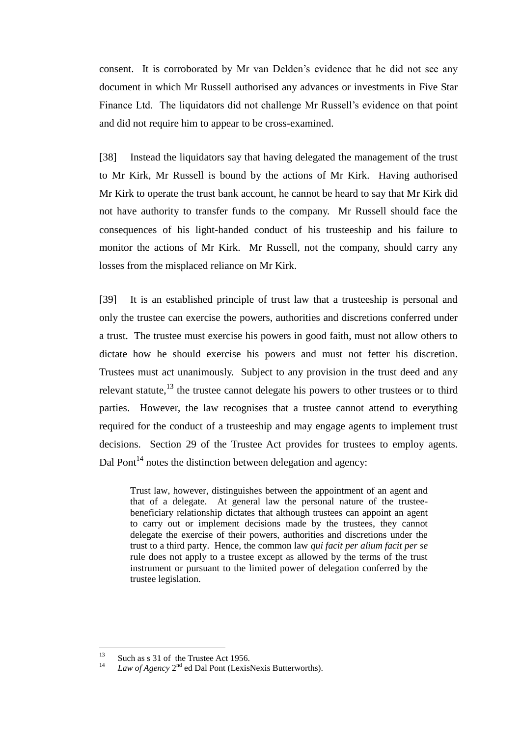consent. It is corroborated by Mr van Delden's evidence that he did not see any document in which Mr Russell authorised any advances or investments in Five Star Finance Ltd. The liquidators did not challenge Mr Russell's evidence on that point and did not require him to appear to be cross-examined.

[38] Instead the liquidators say that having delegated the management of the trust to Mr Kirk, Mr Russell is bound by the actions of Mr Kirk. Having authorised Mr Kirk to operate the trust bank account, he cannot be heard to say that Mr Kirk did not have authority to transfer funds to the company. Mr Russell should face the consequences of his light-handed conduct of his trusteeship and his failure to monitor the actions of Mr Kirk. Mr Russell, not the company, should carry any losses from the misplaced reliance on Mr Kirk.

[39] It is an established principle of trust law that a trusteeship is personal and only the trustee can exercise the powers, authorities and discretions conferred under a trust. The trustee must exercise his powers in good faith, must not allow others to dictate how he should exercise his powers and must not fetter his discretion. Trustees must act unanimously. Subject to any provision in the trust deed and any relevant statute, $^{13}$  the trustee cannot delegate his powers to other trustees or to third parties. However, the law recognises that a trustee cannot attend to everything required for the conduct of a trusteeship and may engage agents to implement trust decisions. Section 29 of the Trustee Act provides for trustees to employ agents. Dal Pont<sup>14</sup> notes the distinction between delegation and agency:

Trust law, however, distinguishes between the appointment of an agent and that of a delegate. At general law the personal nature of the trusteebeneficiary relationship dictates that although trustees can appoint an agent to carry out or implement decisions made by the trustees, they cannot delegate the exercise of their powers, authorities and discretions under the trust to a third party. Hence, the common law *qui facit per alium facit per se*  rule does not apply to a trustee except as allowed by the terms of the trust instrument or pursuant to the limited power of delegation conferred by the trustee legislation.

 $13$ <sup>13</sup> Such as s 31 of the Trustee Act 1956.

<sup>&</sup>lt;sup>14</sup> *Law of Agency*  $2^{nd}$  ed Dal Pont (LexisNexis Butterworths).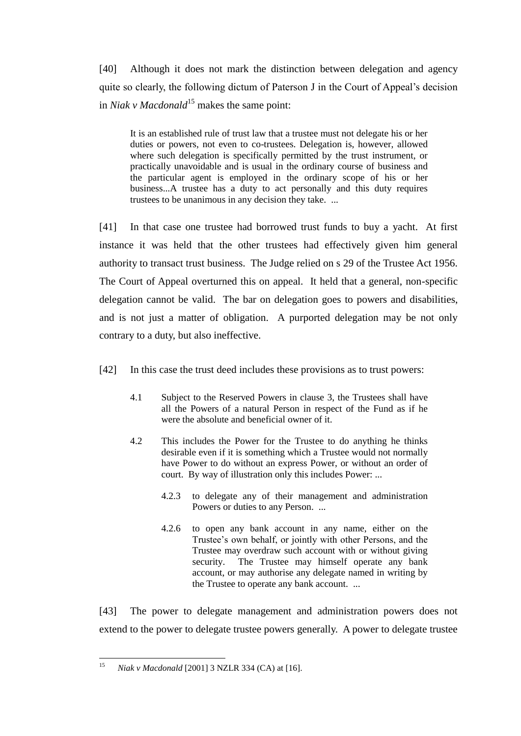[40] Although it does not mark the distinction between delegation and agency quite so clearly, the following dictum of Paterson J in the Court of Appeal's decision in *Niak v Macdonald*<sup>15</sup> makes the same point:

It is an established rule of trust law that a trustee must not delegate his or her duties or powers, not even to co-trustees. Delegation is, however, allowed where such delegation is specifically permitted by the trust instrument, or practically unavoidable and is usual in the ordinary course of business and the particular agent is employed in the ordinary scope of his or her business...A trustee has a duty to act personally and this duty requires trustees to be unanimous in any decision they take. ...

[41] In that case one trustee had borrowed trust funds to buy a yacht. At first instance it was held that the other trustees had effectively given him general authority to transact trust business. The Judge relied on s 29 of the Trustee Act 1956. The Court of Appeal overturned this on appeal. It held that a general, non-specific delegation cannot be valid. The bar on delegation goes to powers and disabilities, and is not just a matter of obligation. A purported delegation may be not only contrary to a duty, but also ineffective.

[42] In this case the trust deed includes these provisions as to trust powers:

- 4.1 Subject to the Reserved Powers in clause 3, the Trustees shall have all the Powers of a natural Person in respect of the Fund as if he were the absolute and beneficial owner of it.
- 4.2 This includes the Power for the Trustee to do anything he thinks desirable even if it is something which a Trustee would not normally have Power to do without an express Power, or without an order of court. By way of illustration only this includes Power: ...
	- 4.2.3 to delegate any of their management and administration Powers or duties to any Person. ...
	- 4.2.6 to open any bank account in any name, either on the Trustee's own behalf, or jointly with other Persons, and the Trustee may overdraw such account with or without giving security. The Trustee may himself operate any bank account, or may authorise any delegate named in writing by the Trustee to operate any bank account. ...

[43] The power to delegate management and administration powers does not extend to the power to delegate trustee powers generally. A power to delegate trustee

 $15$ <sup>15</sup> *Niak v Macdonald* [2001] 3 NZLR 334 (CA) at [16].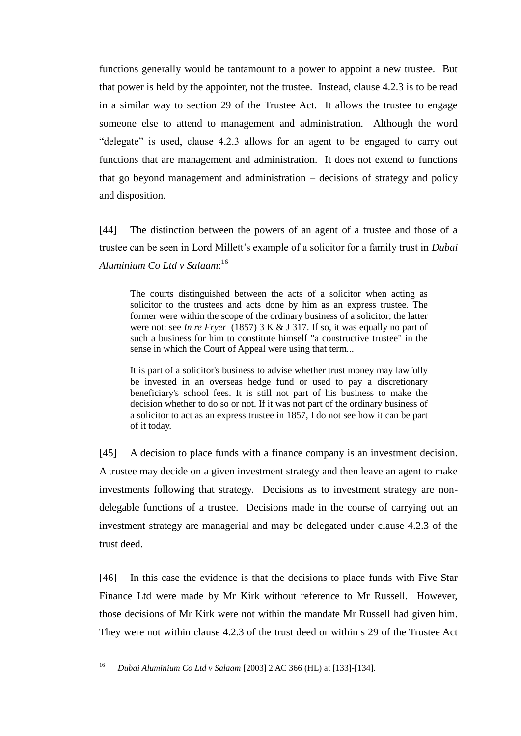functions generally would be tantamount to a power to appoint a new trustee. But that power is held by the appointer, not the trustee. Instead, clause 4.2.3 is to be read in a similar way to section 29 of the Trustee Act. It allows the trustee to engage someone else to attend to management and administration. Although the word "delegate" is used, clause 4.2.3 allows for an agent to be engaged to carry out functions that are management and administration. It does not extend to functions that go beyond management and administration – decisions of strategy and policy and disposition.

[44] The distinction between the powers of an agent of a trustee and those of a trustee can be seen in Lord Millett's example of a solicitor for a family trust in *Dubai Aluminium Co Ltd v Salaam*: 16

The courts distinguished between the acts of a solicitor when acting as solicitor to the trustees and acts done by him as an express trustee. The former were within the scope of the ordinary business of a solicitor; the latter were not: see *In re Fryer* (1857) 3 K & J 317. If so, it was equally no part of such a business for him to constitute himself "a constructive trustee" in the sense in which the Court of Appeal were using that term...

It is part of a solicitor's business to advise whether trust money may lawfully be invested in an overseas hedge fund or used to pay a discretionary beneficiary's school fees. It is still not part of his business to make the decision whether to do so or not. If it was not part of the ordinary business of a solicitor to act as an express trustee in 1857, I do not see how it can be part of it today.

[45] A decision to place funds with a finance company is an investment decision. A trustee may decide on a given investment strategy and then leave an agent to make investments following that strategy. Decisions as to investment strategy are nondelegable functions of a trustee. Decisions made in the course of carrying out an investment strategy are managerial and may be delegated under clause 4.2.3 of the trust deed.

[46] In this case the evidence is that the decisions to place funds with Five Star Finance Ltd were made by Mr Kirk without reference to Mr Russell. However, those decisions of Mr Kirk were not within the mandate Mr Russell had given him. They were not within clause 4.2.3 of the trust deed or within s 29 of the Trustee Act

<sup>16</sup> <sup>16</sup> *Dubai Aluminium Co Ltd v Salaam* [2003] 2 AC 366 (HL) at [133]-[134].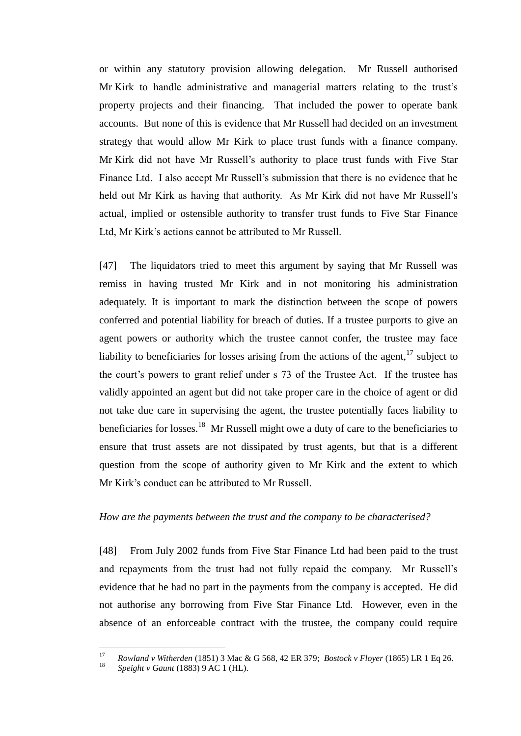or within any statutory provision allowing delegation. Mr Russell authorised Mr Kirk to handle administrative and managerial matters relating to the trust's property projects and their financing. That included the power to operate bank accounts. But none of this is evidence that Mr Russell had decided on an investment strategy that would allow Mr Kirk to place trust funds with a finance company. Mr Kirk did not have Mr Russell's authority to place trust funds with Five Star Finance Ltd. I also accept Mr Russell's submission that there is no evidence that he held out Mr Kirk as having that authority. As Mr Kirk did not have Mr Russell's actual, implied or ostensible authority to transfer trust funds to Five Star Finance Ltd, Mr Kirk's actions cannot be attributed to Mr Russell.

[47] The liquidators tried to meet this argument by saying that Mr Russell was remiss in having trusted Mr Kirk and in not monitoring his administration adequately. It is important to mark the distinction between the scope of powers conferred and potential liability for breach of duties. If a trustee purports to give an agent powers or authority which the trustee cannot confer, the trustee may face liability to beneficiaries for losses arising from the actions of the agent, $17$  subject to the court's powers to grant relief under s 73 of the Trustee Act. If the trustee has validly appointed an agent but did not take proper care in the choice of agent or did not take due care in supervising the agent, the trustee potentially faces liability to beneficiaries for losses.<sup>18</sup> Mr Russell might owe a duty of care to the beneficiaries to ensure that trust assets are not dissipated by trust agents, but that is a different question from the scope of authority given to Mr Kirk and the extent to which Mr Kirk's conduct can be attributed to Mr Russell.

## *How are the payments between the trust and the company to be characterised?*

[48] From July 2002 funds from Five Star Finance Ltd had been paid to the trust and repayments from the trust had not fully repaid the company. Mr Russell's evidence that he had no part in the payments from the company is accepted. He did not authorise any borrowing from Five Star Finance Ltd. However, even in the absence of an enforceable contract with the trustee, the company could require

 $17$ <sup>17</sup> *Rowland v Witherden* (1851) 3 Mac & G 568, 42 ER 379; *Bostock v Floyer* (1865) LR 1 Eq 26.

<sup>18</sup> *Speight v Gaunt* (1883) 9 AC 1 (HL).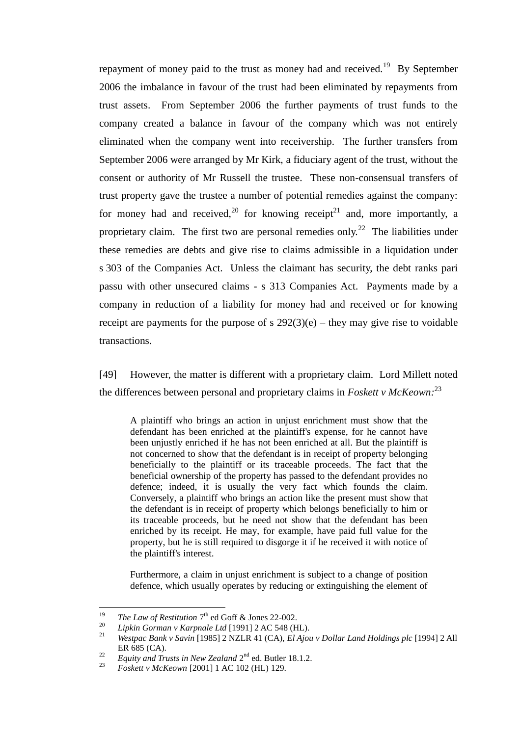repayment of money paid to the trust as money had and received.<sup>19</sup> By September 2006 the imbalance in favour of the trust had been eliminated by repayments from trust assets. From September 2006 the further payments of trust funds to the company created a balance in favour of the company which was not entirely eliminated when the company went into receivership. The further transfers from September 2006 were arranged by Mr Kirk, a fiduciary agent of the trust, without the consent or authority of Mr Russell the trustee. These non-consensual transfers of trust property gave the trustee a number of potential remedies against the company: for money had and received,<sup>20</sup> for knowing receipt<sup>21</sup> and, more importantly, a proprietary claim. The first two are personal remedies only.<sup>22</sup> The liabilities under these remedies are debts and give rise to claims admissible in a liquidation under s 303 of the Companies Act. Unless the claimant has security, the debt ranks pari passu with other unsecured claims - s 313 Companies Act. Payments made by a company in reduction of a liability for money had and received or for knowing receipt are payments for the purpose of s  $292(3)(e)$  – they may give rise to voidable transactions.

[49] However, the matter is different with a proprietary claim. Lord Millett noted the differences between personal and proprietary claims in *Foskett v McKeown:* 23

A plaintiff who brings an action in unjust enrichment must show that the defendant has been enriched at the plaintiff's expense, for he cannot have been unjustly enriched if he has not been enriched at all. But the plaintiff is not concerned to show that the defendant is in receipt of property belonging beneficially to the plaintiff or its traceable proceeds. The fact that the beneficial ownership of the property has passed to the defendant provides no defence; indeed, it is usually the very fact which founds the claim. Conversely, a plaintiff who brings an action like the present must show that the defendant is in receipt of property which belongs beneficially to him or its traceable proceeds, but he need not show that the defendant has been enriched by its receipt. He may, for example, have paid full value for the property, but he is still required to disgorge it if he received it with notice of the plaintiff's interest.

Furthermore, a claim in unjust enrichment is subject to a change of position defence, which usually operates by reducing or extinguishing the element of

<sup>19</sup> <sup>19</sup> *The Law of Restitution*  $7<sup>th</sup>$  ed Goff & Jones 22-002.

<sup>20</sup> *Lipkin Gorman v Karpnale Ltd* [1991] 2 AC 548 (HL).

<sup>21</sup> *Westpac Bank v Savin* [1985] 2 NZLR 41 (CA), *El Ajou v Dollar Land Holdings plc* [1994] 2 All ER 685 (CA).

<sup>&</sup>lt;sup>22</sup> Equity and Trusts in New Zealand  $2<sup>nd</sup>$  ed. Butler 18.1.2.

<sup>23</sup> *Foskett v McKeown* [2001] 1 AC 102 (HL) 129.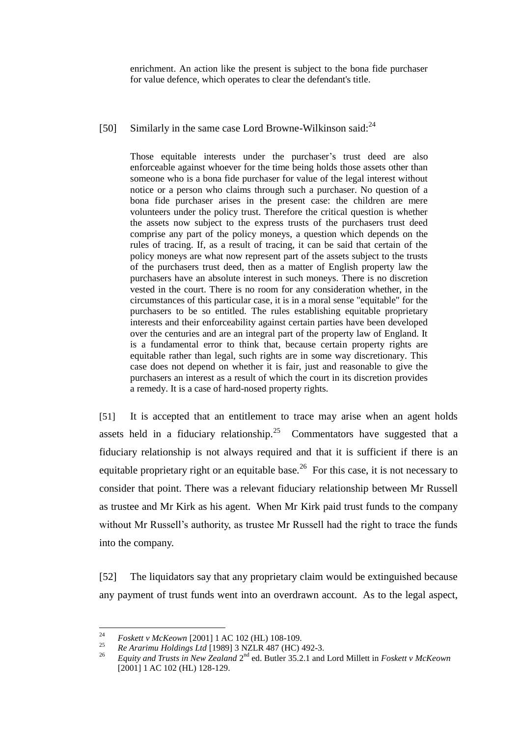enrichment. An action like the present is subject to the bona fide purchaser for value defence, which operates to clear the defendant's title.

[50] Similarly in the same case Lord Browne-Wilkinson said: $^{24}$ 

Those equitable interests under the purchaser's trust deed are also enforceable against whoever for the time being holds those assets other than someone who is a bona fide purchaser for value of the legal interest without notice or a person who claims through such a purchaser. No question of a bona fide purchaser arises in the present case: the children are mere volunteers under the policy trust. Therefore the critical question is whether the assets now subject to the express trusts of the purchasers trust deed comprise any part of the policy moneys, a question which depends on the rules of tracing. If, as a result of tracing, it can be said that certain of the policy moneys are what now represent part of the assets subject to the trusts of the purchasers trust deed, then as a matter of English property law the purchasers have an absolute interest in such moneys. There is no discretion vested in the court. There is no room for any consideration whether, in the circumstances of this particular case, it is in a moral sense "equitable" for the purchasers to be so entitled. The rules establishing equitable proprietary interests and their enforceability against certain parties have been developed over the centuries and are an integral part of the property law of England. It is a fundamental error to think that, because certain property rights are equitable rather than legal, such rights are in some way discretionary. This case does not depend on whether it is fair, just and reasonable to give the purchasers an interest as a result of which the court in its discretion provides a remedy. It is a case of hard-nosed property rights.

[51] It is accepted that an entitlement to trace may arise when an agent holds assets held in a fiduciary relationship.<sup>25</sup> Commentators have suggested that a fiduciary relationship is not always required and that it is sufficient if there is an equitable proprietary right or an equitable base.<sup>26</sup> For this case, it is not necessary to consider that point. There was a relevant fiduciary relationship between Mr Russell as trustee and Mr Kirk as his agent. When Mr Kirk paid trust funds to the company without Mr Russell's authority, as trustee Mr Russell had the right to trace the funds into the company.

[52] The liquidators say that any proprietary claim would be extinguished because any payment of trust funds went into an overdrawn account. As to the legal aspect,

 $24$ <sup>24</sup> *Foskett v McKeown* [2001] 1 AC 102 (HL) 108-109.

<sup>25</sup> *Re Ararimu Holdings Ltd* [1989] 3 NZLR 487 (HC) 492-3.

<sup>&</sup>lt;sup>26</sup> Equity and Trusts in New Zealand 2<sup>nd</sup> ed. Butler 35.2.1 and Lord Millett in *Foskett v McKeown* [2001] 1 AC 102 (HL) 128-129.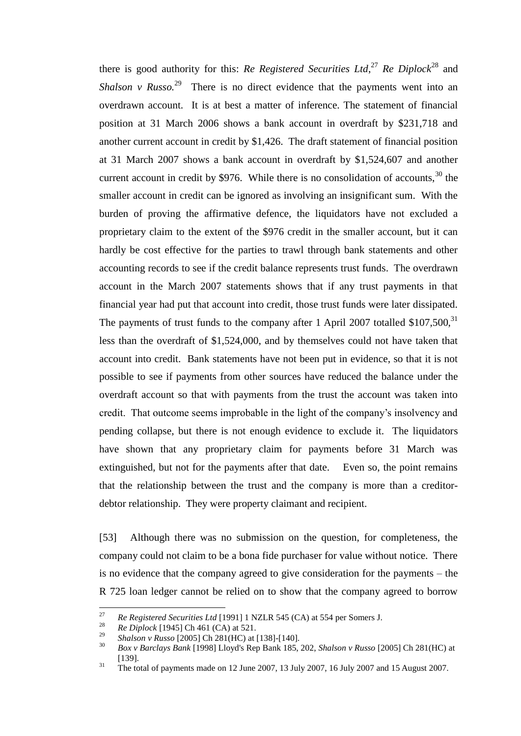there is good authority for this: *Re Registered Securities Ltd*, <sup>27</sup> *Re Diplock*<sup>28</sup> and *Shalson v Russo.*<sup>29</sup> There is no direct evidence that the payments went into an overdrawn account. It is at best a matter of inference. The statement of financial position at 31 March 2006 shows a bank account in overdraft by \$231,718 and another current account in credit by \$1,426. The draft statement of financial position at 31 March 2007 shows a bank account in overdraft by \$1,524,607 and another current account in credit by \$976. While there is no consolidation of accounts,  $30$  the smaller account in credit can be ignored as involving an insignificant sum. With the burden of proving the affirmative defence, the liquidators have not excluded a proprietary claim to the extent of the \$976 credit in the smaller account, but it can hardly be cost effective for the parties to trawl through bank statements and other accounting records to see if the credit balance represents trust funds. The overdrawn account in the March 2007 statements shows that if any trust payments in that financial year had put that account into credit, those trust funds were later dissipated. The payments of trust funds to the company after 1 April 2007 totalled  $$107,500$ ,  $^{31}$ less than the overdraft of \$1,524,000, and by themselves could not have taken that account into credit. Bank statements have not been put in evidence, so that it is not possible to see if payments from other sources have reduced the balance under the overdraft account so that with payments from the trust the account was taken into credit. That outcome seems improbable in the light of the company's insolvency and pending collapse, but there is not enough evidence to exclude it. The liquidators have shown that any proprietary claim for payments before 31 March was extinguished, but not for the payments after that date. Even so, the point remains that the relationship between the trust and the company is more than a creditordebtor relationship. They were property claimant and recipient.

[53] Although there was no submission on the question, for completeness, the company could not claim to be a bona fide purchaser for value without notice. There is no evidence that the company agreed to give consideration for the payments – the R 725 loan ledger cannot be relied on to show that the company agreed to borrow

<sup>27</sup> <sup>27</sup> *Re Registered Securities Ltd* [1991] 1 NZLR 545 (CA) at 554 per Somers J.<br><sup>28</sup> *R. Diskable L10451 Ch.461 (CA)* at 521

<sup>&</sup>lt;sup>28</sup> *Re Diplock* [1945] Ch 461 (CA) at 521.

<sup>&</sup>lt;sup>29</sup> *Shalson v Russo* [2005] Ch 281(HC) at [138]-[140].

<sup>30</sup> *Box v Barclays Bank* [1998] Lloyd's Rep Bank 185, 202, *Shalson v Russo* [2005] Ch 281(HC) at [139].

<sup>&</sup>lt;sup>31</sup> The total of payments made on 12 June 2007, 13 July 2007, 16 July 2007 and 15 August 2007.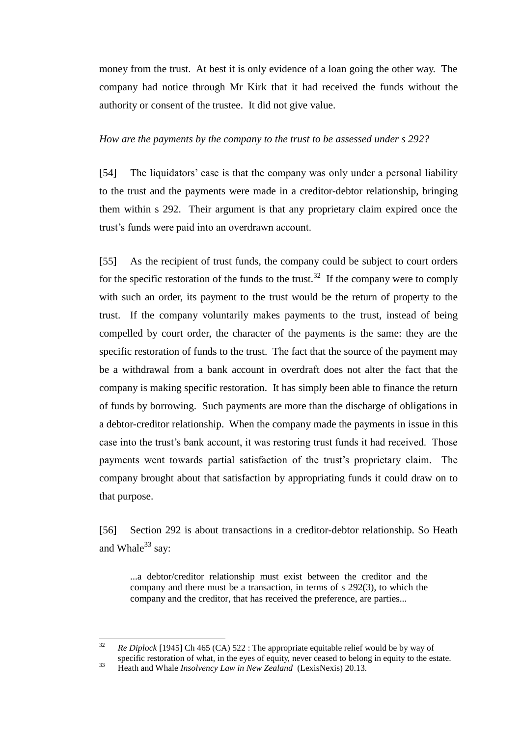money from the trust. At best it is only evidence of a loan going the other way. The company had notice through Mr Kirk that it had received the funds without the authority or consent of the trustee. It did not give value.

# *How are the payments by the company to the trust to be assessed under s 292?*

[54] The liquidators' case is that the company was only under a personal liability to the trust and the payments were made in a creditor-debtor relationship, bringing them within s 292. Their argument is that any proprietary claim expired once the trust's funds were paid into an overdrawn account.

[55] As the recipient of trust funds, the company could be subject to court orders for the specific restoration of the funds to the trust.<sup>32</sup> If the company were to comply with such an order, its payment to the trust would be the return of property to the trust. If the company voluntarily makes payments to the trust, instead of being compelled by court order, the character of the payments is the same: they are the specific restoration of funds to the trust. The fact that the source of the payment may be a withdrawal from a bank account in overdraft does not alter the fact that the company is making specific restoration. It has simply been able to finance the return of funds by borrowing. Such payments are more than the discharge of obligations in a debtor-creditor relationship. When the company made the payments in issue in this case into the trust's bank account, it was restoring trust funds it had received. Those payments went towards partial satisfaction of the trust's proprietary claim. The company brought about that satisfaction by appropriating funds it could draw on to that purpose.

[56] Section 292 is about transactions in a creditor-debtor relationship. So Heath and Whale $33$  say:

...a debtor/creditor relationship must exist between the creditor and the company and there must be a transaction, in terms of s 292(3), to which the company and the creditor, that has received the preference, are parties...

 $32$ <sup>32</sup> *Re Diplock* [1945] Ch 465 (CA) 522 : The appropriate equitable relief would be by way of specific restoration of what, in the eyes of equity, never ceased to belong in equity to the estate.

<sup>33</sup> Heath and Whale *Insolvency Law in New Zealand* (LexisNexis) 20.13.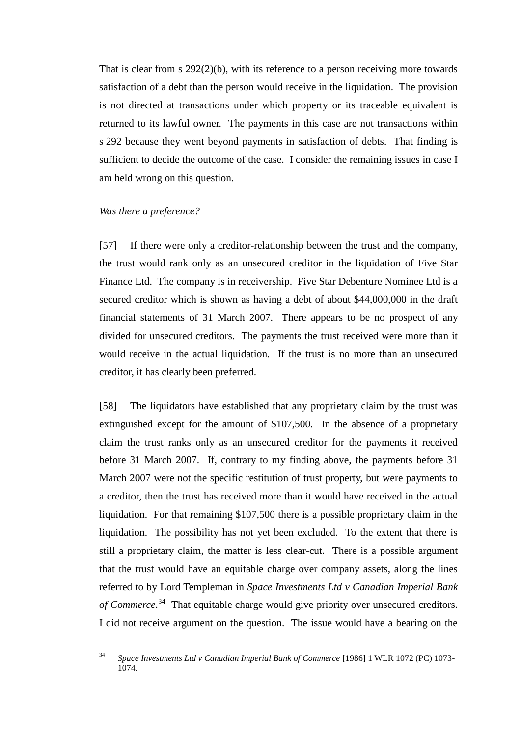That is clear from s 292(2)(b), with its reference to a person receiving more towards satisfaction of a debt than the person would receive in the liquidation. The provision is not directed at transactions under which property or its traceable equivalent is returned to its lawful owner. The payments in this case are not transactions within s 292 because they went beyond payments in satisfaction of debts. That finding is sufficient to decide the outcome of the case. I consider the remaining issues in case I am held wrong on this question.

#### *Was there a preference?*

[57] If there were only a creditor-relationship between the trust and the company, the trust would rank only as an unsecured creditor in the liquidation of Five Star Finance Ltd. The company is in receivership. Five Star Debenture Nominee Ltd is a secured creditor which is shown as having a debt of about \$44,000,000 in the draft financial statements of 31 March 2007. There appears to be no prospect of any divided for unsecured creditors. The payments the trust received were more than it would receive in the actual liquidation. If the trust is no more than an unsecured creditor, it has clearly been preferred.

[58] The liquidators have established that any proprietary claim by the trust was extinguished except for the amount of \$107,500. In the absence of a proprietary claim the trust ranks only as an unsecured creditor for the payments it received before 31 March 2007. If, contrary to my finding above, the payments before 31 March 2007 were not the specific restitution of trust property, but were payments to a creditor, then the trust has received more than it would have received in the actual liquidation. For that remaining \$107,500 there is a possible proprietary claim in the liquidation. The possibility has not yet been excluded. To the extent that there is still a proprietary claim, the matter is less clear-cut. There is a possible argument that the trust would have an equitable charge over company assets, along the lines referred to by Lord Templeman in *Space Investments Ltd v Canadian Imperial Bank of Commerce.* 34 That equitable charge would give priority over unsecured creditors. I did not receive argument on the question. The issue would have a bearing on the

 $34$ <sup>34</sup> *Space Investments Ltd v Canadian Imperial Bank of Commerce* [1986] 1 WLR 1072 (PC) 1073- 1074.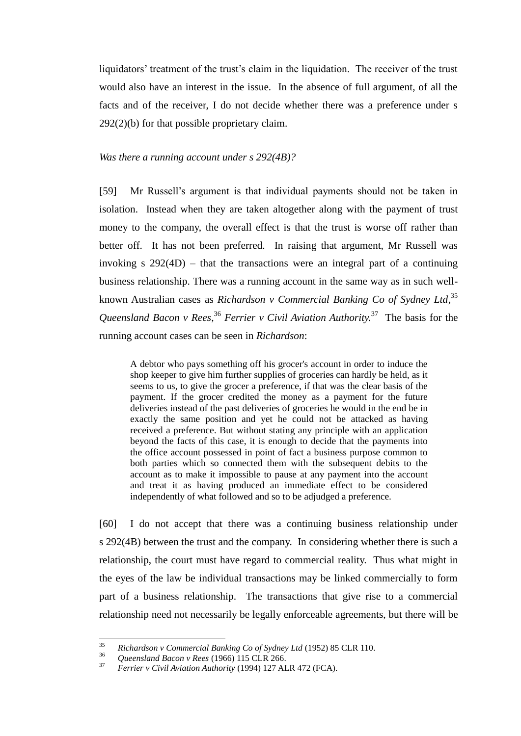liquidators' treatment of the trust's claim in the liquidation. The receiver of the trust would also have an interest in the issue. In the absence of full argument, of all the facts and of the receiver, I do not decide whether there was a preference under s 292(2)(b) for that possible proprietary claim.

## *Was there a running account under s 292(4B)?*

[59] Mr Russell's argument is that individual payments should not be taken in isolation. Instead when they are taken altogether along with the payment of trust money to the company, the overall effect is that the trust is worse off rather than better off. It has not been preferred. In raising that argument, Mr Russell was invoking s  $292(4D)$  – that the transactions were an integral part of a continuing business relationship. There was a running account in the same way as in such wellknown Australian cases as *Richardson v Commercial Banking Co of Sydney Ltd,* 35 *Queensland Bacon v Rees,* <sup>36</sup> *Ferrier v Civil Aviation Authority.* 37 The basis for the running account cases can be seen in *Richardson*:

A debtor who pays something off his grocer's account in order to induce the shop keeper to give him further supplies of groceries can hardly be held, as it seems to us, to give the grocer a preference, if that was the clear basis of the payment. If the grocer credited the money as a payment for the future deliveries instead of the past deliveries of groceries he would in the end be in exactly the same position and yet he could not be attacked as having received a preference. But without stating any principle with an application beyond the facts of this case, it is enough to decide that the payments into the office account possessed in point of fact a business purpose common to both parties which so connected them with the subsequent debits to the account as to make it impossible to pause at any payment into the account and treat it as having produced an immediate effect to be considered independently of what followed and so to be adjudged a preference.

[60] I do not accept that there was a continuing business relationship under s 292(4B) between the trust and the company. In considering whether there is such a relationship, the court must have regard to commercial reality. Thus what might in the eyes of the law be individual transactions may be linked commercially to form part of a business relationship. The transactions that give rise to a commercial relationship need not necessarily be legally enforceable agreements, but there will be

<sup>35</sup> <sup>35</sup> *Richardson v Commercial Banking Co of Sydney Ltd* (1952) 85 CLR 110.

<sup>&</sup>lt;sup>36</sup> *Queensland Bacon v Rees* (1966) 115 CLR 266.

<sup>37</sup> *Ferrier v Civil Aviation Authority* (1994) 127 ALR 472 (FCA).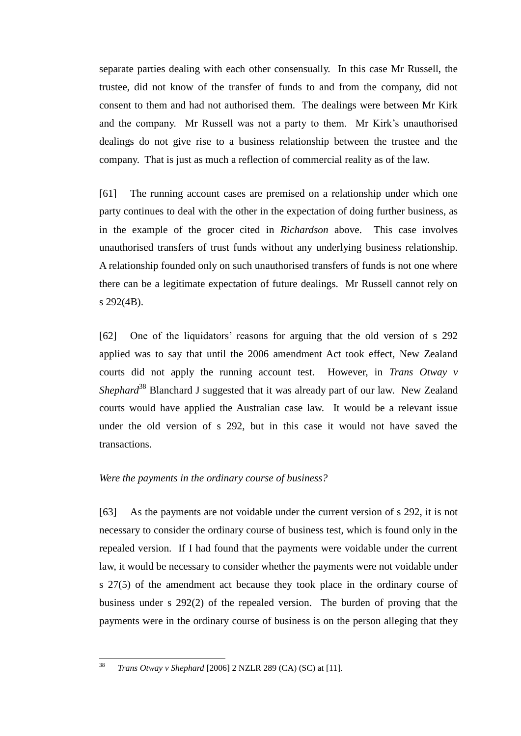separate parties dealing with each other consensually. In this case Mr Russell, the trustee, did not know of the transfer of funds to and from the company, did not consent to them and had not authorised them. The dealings were between Mr Kirk and the company. Mr Russell was not a party to them. Mr Kirk's unauthorised dealings do not give rise to a business relationship between the trustee and the company. That is just as much a reflection of commercial reality as of the law.

[61] The running account cases are premised on a relationship under which one party continues to deal with the other in the expectation of doing further business, as in the example of the grocer cited in *Richardson* above. This case involves unauthorised transfers of trust funds without any underlying business relationship. A relationship founded only on such unauthorised transfers of funds is not one where there can be a legitimate expectation of future dealings. Mr Russell cannot rely on s 292(4B).

[62] One of the liquidators' reasons for arguing that the old version of s 292 applied was to say that until the 2006 amendment Act took effect, New Zealand courts did not apply the running account test. However, in *Trans Otway v Shephard*<sup>38</sup> Blanchard J suggested that it was already part of our law. New Zealand courts would have applied the Australian case law. It would be a relevant issue under the old version of s 292, but in this case it would not have saved the transactions.

# *Were the payments in the ordinary course of business?*

[63] As the payments are not voidable under the current version of s 292, it is not necessary to consider the ordinary course of business test, which is found only in the repealed version. If I had found that the payments were voidable under the current law, it would be necessary to consider whether the payments were not voidable under s 27(5) of the amendment act because they took place in the ordinary course of business under s 292(2) of the repealed version. The burden of proving that the payments were in the ordinary course of business is on the person alleging that they

<sup>38</sup> <sup>38</sup> *Trans Otway v Shephard* [2006] 2 NZLR 289 (CA) (SC) at [11].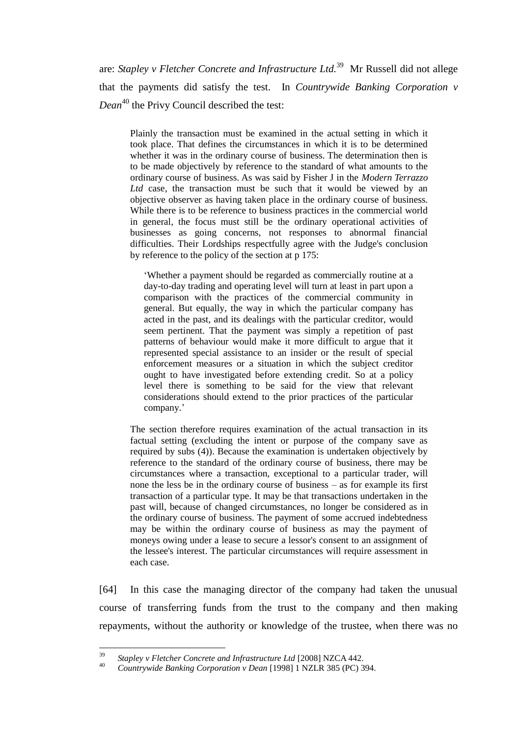are: *Stapley v Fletcher Concrete and Infrastructure Ltd.*<sup>39</sup> Mr Russell did not allege that the payments did satisfy the test. In *Countrywide Banking Corporation v Dean*<sup>40</sup> the Privy Council described the test:

Plainly the transaction must be examined in the actual setting in which it took place. That defines the circumstances in which it is to be determined whether it was in the ordinary course of business. The determination then is to be made objectively by reference to the standard of what amounts to the ordinary course of business. As was said by Fisher J in the *Modern Terrazzo*  Ltd case, the transaction must be such that it would be viewed by an objective observer as having taken place in the ordinary course of business. While there is to be reference to business practices in the commercial world in general, the focus must still be the ordinary operational activities of businesses as going concerns, not responses to abnormal financial difficulties. Their Lordships respectfully agree with the Judge's conclusion by reference to the policy of the section at p 175:

‗Whether a payment should be regarded as commercially routine at a day-to-day trading and operating level will turn at least in part upon a comparison with the practices of the commercial community in general. But equally, the way in which the particular company has acted in the past, and its dealings with the particular creditor, would seem pertinent. That the payment was simply a repetition of past patterns of behaviour would make it more difficult to argue that it represented special assistance to an insider or the result of special enforcement measures or a situation in which the subject creditor ought to have investigated before extending credit. So at a policy level there is something to be said for the view that relevant considerations should extend to the prior practices of the particular company.'

The section therefore requires examination of the actual transaction in its factual setting (excluding the intent or purpose of the company save as required by subs (4)). Because the examination is undertaken objectively by reference to the standard of the ordinary course of business, there may be circumstances where a transaction, exceptional to a particular trader, will none the less be in the ordinary course of business – as for example its first transaction of a particular type. It may be that transactions undertaken in the past will, because of changed circumstances, no longer be considered as in the ordinary course of business. The payment of some accrued indebtedness may be within the ordinary course of business as may the payment of moneys owing under a lease to secure a lessor's consent to an assignment of the lessee's interest. The particular circumstances will require assessment in each case.

[64] In this case the managing director of the company had taken the unusual course of transferring funds from the trust to the company and then making repayments, without the authority or knowledge of the trustee, when there was no

<sup>39</sup> <sup>39</sup> *Stapley v Fletcher Concrete and Infrastructure Ltd* [2008] NZCA 442.

<sup>40</sup> *Countrywide Banking Corporation v Dean* [1998] 1 NZLR 385 (PC) 394.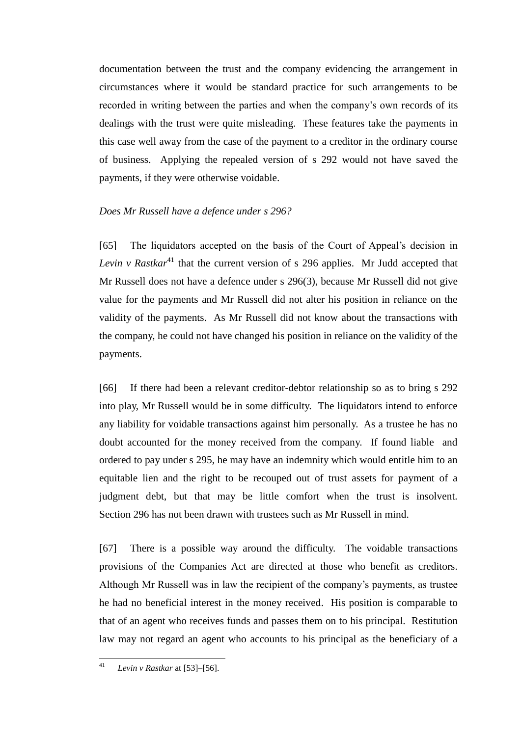documentation between the trust and the company evidencing the arrangement in circumstances where it would be standard practice for such arrangements to be recorded in writing between the parties and when the company's own records of its dealings with the trust were quite misleading. These features take the payments in this case well away from the case of the payment to a creditor in the ordinary course of business. Applying the repealed version of s 292 would not have saved the payments, if they were otherwise voidable.

## *Does Mr Russell have a defence under s 296?*

[65] The liquidators accepted on the basis of the Court of Appeal's decision in *Levin v Rastkar*<sup>41</sup> that the current version of s 296 applies. Mr Judd accepted that Mr Russell does not have a defence under s 296(3), because Mr Russell did not give value for the payments and Mr Russell did not alter his position in reliance on the validity of the payments. As Mr Russell did not know about the transactions with the company, he could not have changed his position in reliance on the validity of the payments.

[66] If there had been a relevant creditor-debtor relationship so as to bring s 292 into play, Mr Russell would be in some difficulty. The liquidators intend to enforce any liability for voidable transactions against him personally. As a trustee he has no doubt accounted for the money received from the company. If found liable and ordered to pay under s 295, he may have an indemnity which would entitle him to an equitable lien and the right to be recouped out of trust assets for payment of a judgment debt, but that may be little comfort when the trust is insolvent. Section 296 has not been drawn with trustees such as Mr Russell in mind.

[67] There is a possible way around the difficulty. The voidable transactions provisions of the Companies Act are directed at those who benefit as creditors. Although Mr Russell was in law the recipient of the company's payments, as trustee he had no beneficial interest in the money received. His position is comparable to that of an agent who receives funds and passes them on to his principal. Restitution law may not regard an agent who accounts to his principal as the beneficiary of a

 $41$ <sup>41</sup> *Levin v Rastkar* at [53]–[56].